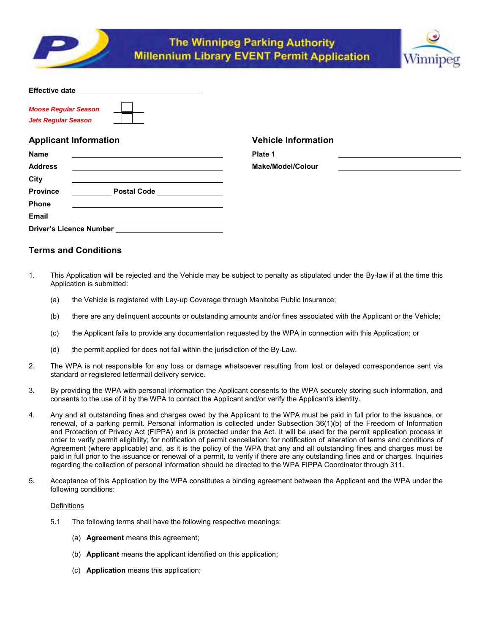



| <b>Effective date</b>       |  |
|-----------------------------|--|
|                             |  |
| <b>Moose Regular Season</b> |  |
| <b>Jets Regular Season</b>  |  |

# **Applicant Information Vehicle Information**

| <b>Name</b>                    |                              | Plate 1       |
|--------------------------------|------------------------------|---------------|
| <b>Address</b>                 |                              | <b>Make/N</b> |
| City                           |                              |               |
| <b>Province</b>                | Postal Code ________________ |               |
| <b>Phone</b>                   |                              |               |
| <b>Email</b>                   |                              |               |
| <b>Driver's Licence Number</b> |                              |               |

**Address Make/Model/Colour** 

# **Terms and Conditions**

- 1. This Application will be rejected and the Vehicle may be subject to penalty as stipulated under the By-law if at the time this Application is submitted:
	- (a) the Vehicle is registered with Lay-up Coverage through Manitoba Public Insurance;
	- (b) there are any delinquent accounts or outstanding amounts and/or fines associated with the Applicant or the Vehicle;
	- (c) the Applicant fails to provide any documentation requested by the WPA in connection with this Application; or
	- (d) the permit applied for does not fall within the jurisdiction of the By-Law.
- 2. The WPA is not responsible for any loss or damage whatsoever resulting from lost or delayed correspondence sent via standard or registered lettermail delivery service.
- 3. By providing the WPA with personal information the Applicant consents to the WPA securely storing such information, and consents to the use of it by the WPA to contact the Applicant and/or verify the Applicant's identity.
- 4. Any and all outstanding fines and charges owed by the Applicant to the WPA must be paid in full prior to the issuance, or renewal, of a parking permit. Personal information is collected under Subsection 36(1)(b) of the Freedom of Information and Protection of Privacy Act (FIPPA) and is protected under the Act. It will be used for the permit application process in order to verify permit eligibility; for notification of permit cancellation; for notification of alteration of terms and conditions of Agreement (where applicable) and, as it is the policy of the WPA that any and all outstanding fines and charges must be paid in full prior to the issuance or renewal of a permit, to verify if there are any outstanding fines and or charges. Inquiries regarding the collection of personal information should be directed to the WPA FIPPA Coordinator through 311.
- 5. Acceptance of this Application by the WPA constitutes a binding agreement between the Applicant and the WPA under the following conditions:

# **Definitions**

- 5.1 The following terms shall have the following respective meanings:
	- (a) **Agreement** means this agreement;
	- (b) **Applicant** means the applicant identified on this application;
	- (c) **Application** means this application;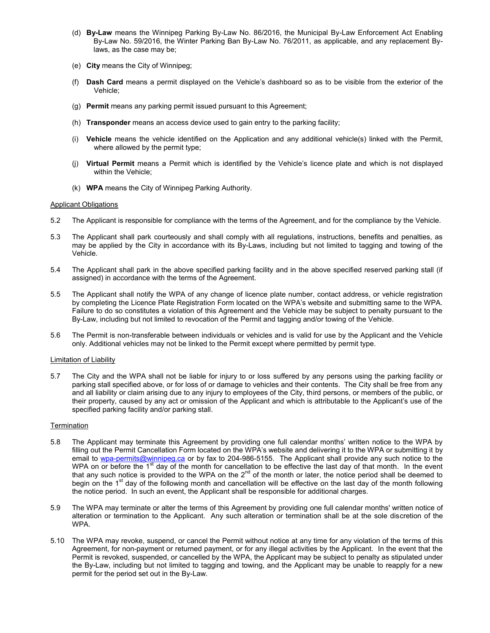- (d) **By-Law** means the Winnipeg Parking By-Law No. 86/2016, the Municipal By-Law Enforcement Act Enabling By-Law No. 59/2016, the Winter Parking Ban By-Law No. 76/2011, as applicable, and any replacement Bylaws, as the case may be;
- (e) **City** means the City of Winnipeg;
- (f) **Dash Card** means a permit displayed on the Vehicle's dashboard so as to be visible from the exterior of the Vehicle;
- (g) **Permit** means any parking permit issued pursuant to this Agreement;
- (h) **Transponder** means an access device used to gain entry to the parking facility;
- (i) **Vehicle** means the vehicle identified on the Application and any additional vehicle(s) linked with the Permit, where allowed by the permit type;
- (j) **Virtual Permit** means a Permit which is identified by the Vehicle's licence plate and which is not displayed within the Vehicle;
- (k) **WPA** means the City of Winnipeg Parking Authority.

## Applicant Obligations

- 5.2 The Applicant is responsible for compliance with the terms of the Agreement, and for the compliance by the Vehicle.
- 5.3 The Applicant shall park courteously and shall comply with all regulations, instructions, benefits and penalties, as may be applied by the City in accordance with its By-Laws, including but not limited to tagging and towing of the Vehicle.
- 5.4 The Applicant shall park in the above specified parking facility and in the above specified reserved parking stall (if assigned) in accordance with the terms of the Agreement.
- 5.5 The Applicant shall notify the WPA of any change of licence plate number, contact address, or vehicle registration by completing the Licence Plate Registration Form located on the WPA's website and submitting same to the WPA. Failure to do so constitutes a violation of this Agreement and the Vehicle may be subject to penalty pursuant to the By-Law, including but not limited to revocation of the Permit and tagging and/or towing of the Vehicle.
- 5.6 The Permit is non-transferable between individuals or vehicles and is valid for use by the Applicant and the Vehicle only. Additional vehicles may not be linked to the Permit except where permitted by permit type.

## Limitation of Liability

5.7 The City and the WPA shall not be liable for injury to or loss suffered by any persons using the parking facility or parking stall specified above, or for loss of or damage to vehicles and their contents. The City shall be free from any and all liability or claim arising due to any injury to employees of the City, third persons, or members of the public, or their property, caused by any act or omission of the Applicant and which is attributable to the Applicant's use of the specified parking facility and/or parking stall.

## **Termination**

- 5.8 The Applicant may terminate this Agreement by providing one full calendar months' written notice to the WPA by filling out the Permit Cancellation Form located on the WPA's website and delivering it to the WPA or submitting it by email to wpa-permits@winnipeg.ca or by fax to 204-986-5155. The Applicant shall provide any such notice to the WPA on or before the  $1<sup>st</sup>$  day of the month for cancellation to be effective the last day of that month. In the event that any such notice is provided to the WPA on the  $2^{nd}$  of the month or later, the notice period shall be deemed to begin on the 1<sup>st</sup> day of the following month and cancellation will be effective on the last day of the month following the notice period. In such an event, the Applicant shall be responsible for additional charges.
- 5.9 The WPA may terminate or alter the terms of this Agreement by providing one full calendar months' written notice of alteration or termination to the Applicant. Any such alteration or termination shall be at the sole discretion of the WPA.
- 5.10 The WPA may revoke, suspend, or cancel the Permit without notice at any time for any violation of the terms of this Agreement, for non-payment or returned payment, or for any illegal activities by the Applicant. In the event that the Permit is revoked, suspended, or cancelled by the WPA, the Applicant may be subject to penalty as stipulated under the By-Law, including but not limited to tagging and towing, and the Applicant may be unable to reapply for a new permit for the period set out in the By-Law.